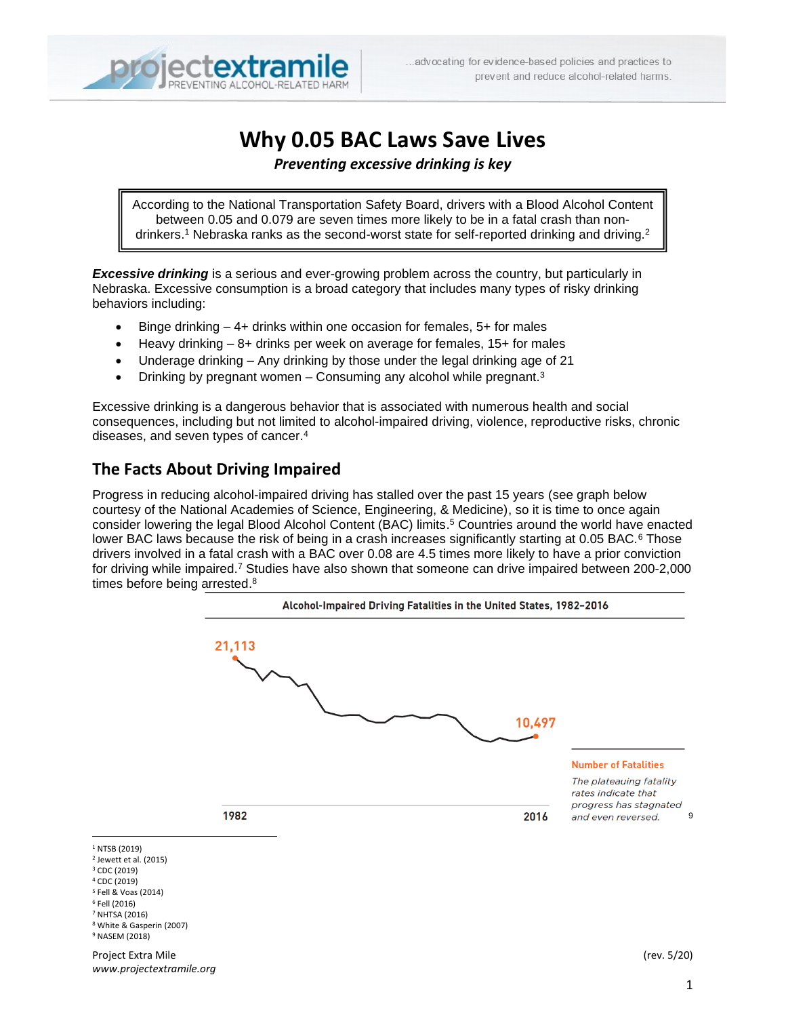

# **Why 0.05 BAC Laws Save Lives**

#### *Preventing excessive drinking is key*

According to the National Transportation Safety Board, drivers with a Blood Alcohol Content between 0.05 and 0.079 are seven times more likely to be in a fatal crash than nondrinkers.<sup>1</sup> Nebraska ranks as the second-worst state for self-reported drinking and driving.<sup>2</sup>

**Excessive drinking** is a serious and ever-growing problem across the country, but particularly in Nebraska. Excessive consumption is a broad category that includes many types of risky drinking behaviors including:

- Binge drinking  $-4+$  drinks within one occasion for females,  $5+$  for males
- Heavy drinking 8+ drinks per week on average for females, 15+ for males
- Underage drinking Any drinking by those under the legal drinking age of 21
- Drinking by pregnant women Consuming any alcohol while pregnant.<sup>3</sup>

Excessive drinking is a dangerous behavior that is associated with numerous health and social consequences, including but not limited to alcohol-impaired driving, violence, reproductive risks, chronic diseases, and seven types of cancer. 4

# **The Facts About Driving Impaired**

Progress in reducing alcohol-impaired driving has stalled over the past 15 years (see graph below courtesy of the National Academies of Science, Engineering, & Medicine), so it is time to once again consider lowering the legal Blood Alcohol Content (BAC) limits. <sup>5</sup> Countries around the world have enacted lower BAC laws because the risk of being in a crash increases significantly starting at 0.05 BAC. $6$  Those drivers involved in a fatal crash with a BAC over 0.08 are 4.5 times more likely to have a prior conviction for driving while impaired. <sup>7</sup> Studies have also shown that someone can drive impaired between 200-2,000 times before being arrested.<sup>8</sup>

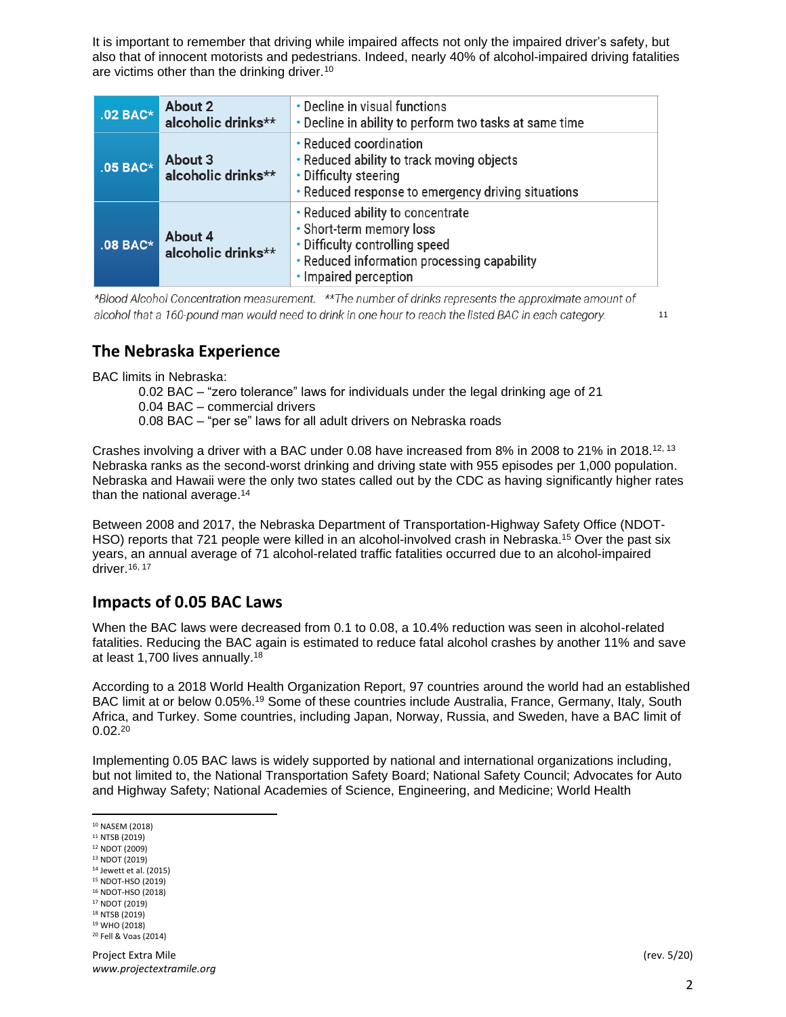It is important to remember that driving while impaired affects not only the impaired driver's safety, but also that of innocent motorists and pedestrians. Indeed, nearly 40% of alcohol-impaired driving fatalities are victims other than the drinking driver.<sup>10</sup>

| $.02$ BAC* | <b>About 2</b><br>alcoholic drinks** | • Decline in visual functions<br>. Decline in ability to perform two tasks at same time                                                                                |
|------------|--------------------------------------|------------------------------------------------------------------------------------------------------------------------------------------------------------------------|
| $.05$ BAC* | About 3<br>alcoholic drinks**        | • Reduced coordination<br>• Reduced ability to track moving objects<br>• Difficulty steering<br>• Reduced response to emergency driving situations                     |
| $.08$ BAC* | About 4<br>alcoholic drinks**        | • Reduced ability to concentrate<br>• Short-term memory loss<br>• Difficulty controlling speed<br>• Reduced information processing capability<br>• Impaired perception |

\*Blood Alcohol Concentration measurement. \*\*The number of drinks represents the approximate amount of alcohol that a 160-pound man would need to drink in one hour to reach the listed BAC in each category.

11

# **The Nebraska Experience**

BAC limits in Nebraska:

- 0.02 BAC "zero tolerance" laws for individuals under the legal drinking age of 21 0.04 BAC – commercial drivers
- 0.08 BAC "per se" laws for all adult drivers on Nebraska roads

Crashes involving a driver with a BAC under 0.08 have increased from 8% in 2008 to 21% in 2018.<sup>12, 13</sup> Nebraska ranks as the second-worst drinking and driving state with 955 episodes per 1,000 population. Nebraska and Hawaii were the only two states called out by the CDC as having significantly higher rates than the national average.<sup>14</sup>

Between 2008 and 2017, the Nebraska Department of Transportation-Highway Safety Office (NDOT-HSO) reports that 721 people were killed in an alcohol-involved crash in Nebraska. <sup>15</sup> Over the past six years, an annual average of 71 alcohol-related traffic fatalities occurred due to an alcohol-impaired driver.<sup>16, 17</sup>

### **Impacts of 0.05 BAC Laws**

When the BAC laws were decreased from 0.1 to 0.08, a 10.4% reduction was seen in alcohol-related fatalities. Reducing the BAC again is estimated to reduce fatal alcohol crashes by another 11% and save at least 1,700 lives annually.<sup>18</sup>

According to a 2018 World Health Organization Report, 97 countries around the world had an established BAC limit at or below 0.05%.<sup>19</sup> Some of these countries include Australia, France, Germany, Italy, South Africa, and Turkey. Some countries, including Japan, Norway, Russia, and Sweden, have a BAC limit of  $0.02^{20}$ 

Implementing 0.05 BAC laws is widely supported by national and international organizations including, but not limited to, the National Transportation Safety Board; National Safety Council; Advocates for Auto and Highway Safety; National Academies of Science, Engineering, and Medicine; World Health

<sup>10</sup> NASEM (2018)

- <sup>11</sup> NTSB (2019)
- <sup>12</sup> NDOT (2009)
- <sup>13</sup> NDOT (2019) <sup>14</sup> Jewett et al. (2015)
- <sup>15</sup> NDOT-HSO (2019)
- <sup>16</sup> NDOT-HSO (2018)
- <sup>17</sup> NDOT (2019) <sup>18</sup> NTSB (2019)
- <sup>19</sup> WHO (2018)
- <sup>20</sup> Fell & Voas (2014)

Project Extra Mile (rev. 5/20) *www.projectextramile.org*